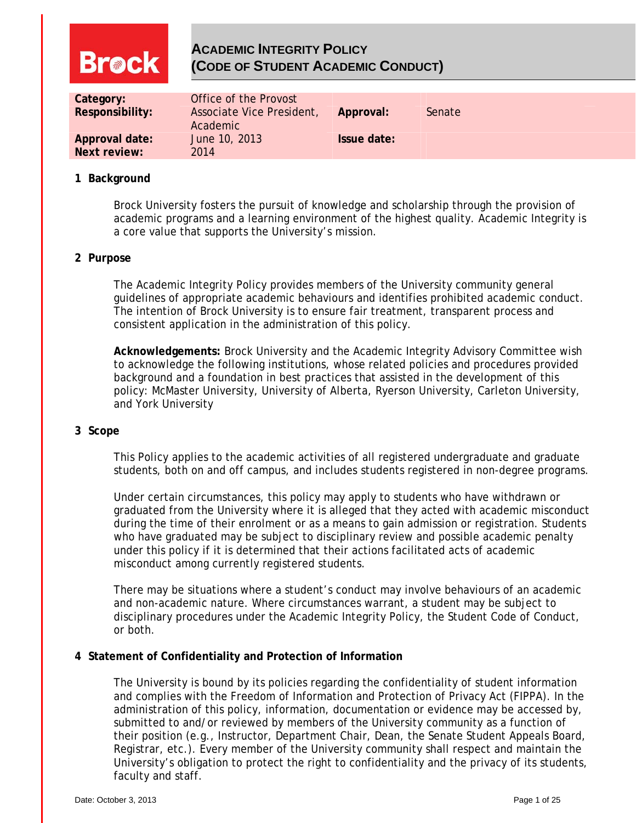# **ACADEMIC INTEGRITY POLICY Breck (CODE OF STUDENT ACADEMIC CONDUCT) Category: Office of the Provost Responsibility:** Associate Vice President, **Approval:** Senate Academic **Approval date:** June 10, 2013 **Issue date: Next review:** 2014

### **1 Background**

Brock University fosters the pursuit of knowledge and scholarship through the provision of academic programs and a learning environment of the highest quality. Academic Integrity is a core value that supports the University's mission.

### **2 Purpose**

The Academic Integrity Policy provides members of the University community general guidelines of appropriate academic behaviours and identifies prohibited academic conduct. The intention of Brock University is to ensure fair treatment, transparent process and consistent application in the administration of this policy.

**Acknowledgements:** Brock University and the Academic Integrity Advisory Committee wish to acknowledge the following institutions, whose related policies and procedures provided background and a foundation in best practices that assisted in the development of this policy: McMaster University, University of Alberta, Ryerson University, Carleton University, and York University

### **3 Scope**

This Policy applies to the academic activities of all registered undergraduate and graduate students, both on and off campus, and includes students registered in non-degree programs.

Under certain circumstances, this policy may apply to students who have withdrawn or graduated from the University where it is alleged that they acted with academic misconduct during the time of their enrolment or as a means to gain admission or registration. Students who have graduated may be subject to disciplinary review and possible academic penalty under this policy if it is determined that their actions facilitated acts of academic misconduct among currently registered students.

There may be situations where a student's conduct may involve behaviours of an academic and non-academic nature. Where circumstances warrant, a student may be subject to disciplinary procedures under the Academic Integrity Policy, the Student Code of Conduct, or both.

### **4 Statement of Confidentiality and Protection of Information**

The University is bound by its policies regarding the confidentiality of student information and complies with the Freedom of Information and Protection of Privacy Act (FIPPA). In the administration of this policy, information, documentation or evidence may be accessed by, submitted to and/or reviewed by members of the University community as a function of their position (e.g., Instructor, Department Chair, Dean, the Senate Student Appeals Board, Registrar, etc.). Every member of the University community shall respect and maintain the University's obligation to protect the right to confidentiality and the privacy of its students, faculty and staff.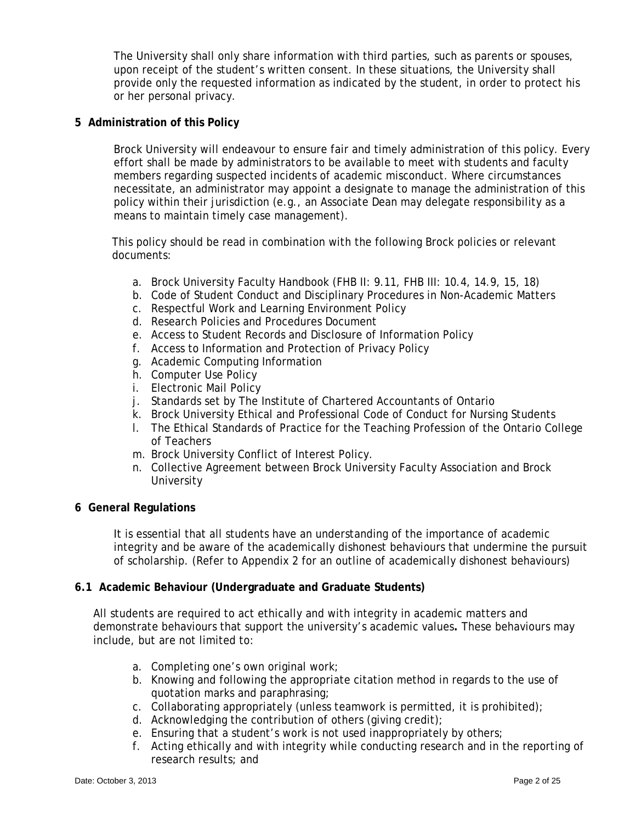The University shall only share information with third parties, such as parents or spouses, upon receipt of the student's written consent. In these situations, the University shall provide only the requested information as indicated by the student, in order to protect his or her personal privacy.

## **5 Administration of this Policy**

Brock University will endeavour to ensure fair and timely administration of this policy. Every effort shall be made by administrators to be available to meet with students and faculty members regarding suspected incidents of academic misconduct. Where circumstances necessitate, an administrator may appoint a designate to manage the administration of this policy within their jurisdiction (e.g., an Associate Dean may delegate responsibility as a means to maintain timely case management).

This policy should be read in combination with the following Brock policies or relevant documents:

- a. Brock University Faculty Handbook (FHB II: 9.11, FHB III: 10.4, 14.9, 15, 18)
- b. Code of Student Conduct and Disciplinary Procedures in Non-Academic Matters
- c. Respectful Work and Learning Environment Policy
- d. Research Policies and Procedures Document
- e. Access to Student Records and Disclosure of Information Policy
- f. Access to Information and Protection of Privacy Policy
- g. Academic Computing Information
- h. Computer Use Policy
- i. Electronic Mail Policy
- j. Standards set by The Institute of Chartered Accountants of Ontario
- k. Brock University Ethical and Professional Code of Conduct for Nursing Students
- l. The Ethical Standards of Practice for the Teaching Profession of the Ontario College of Teachers
- m. Brock University Conflict of Interest Policy.
- n. Collective Agreement between Brock University Faculty Association and Brock **University**

### **6 General Regulations**

It is essential that all students have an understanding of the importance of academic integrity and be aware of the academically dishonest behaviours that undermine the pursuit of scholarship. (Refer to Appendix 2 for an outline of academically dishonest behaviours)

### **6.1 Academic Behaviour (Undergraduate and Graduate Students)**

All students are required to act ethically and with integrity in academic matters and demonstrate behaviours that support the university's academic values**.** These behaviours may include, but are not limited to:

- a. Completing one's own original work;
- b. Knowing and following the appropriate citation method in regards to the use of quotation marks and paraphrasing;
- c. Collaborating appropriately (unless teamwork is permitted, it is prohibited);
- d. Acknowledging the contribution of others (giving credit);
- e. Ensuring that a student's work is not used inappropriately by others;
- f. Acting ethically and with integrity while conducting research and in the reporting of research results; and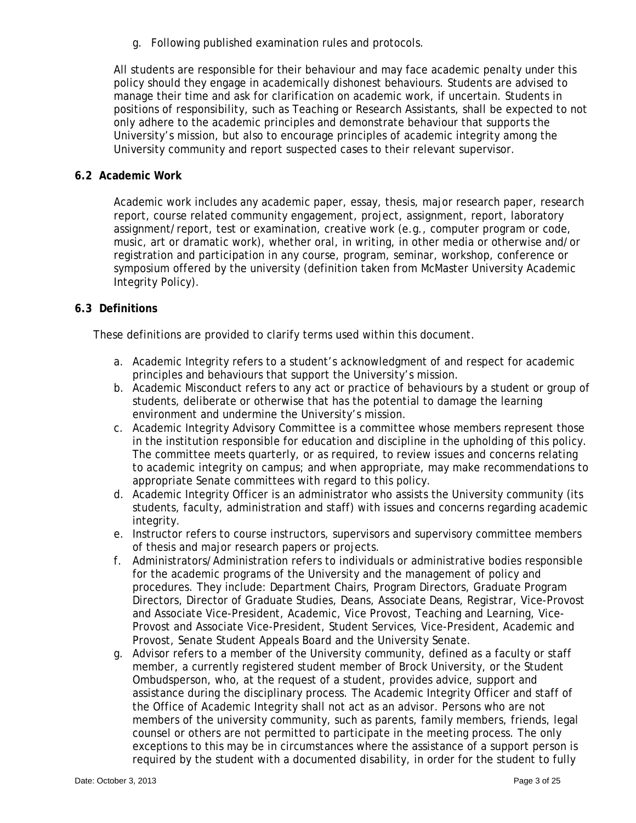g. Following published examination rules and protocols.

All students are responsible for their behaviour and may face academic penalty under this policy should they engage in academically dishonest behaviours. Students are advised to manage their time and ask for clarification on academic work, if uncertain. Students in positions of responsibility, such as Teaching or Research Assistants, shall be expected to not only adhere to the academic principles and demonstrate behaviour that supports the University's mission, but also to encourage principles of academic integrity among the University community and report suspected cases to their relevant supervisor.

### **6.2 Academic Work**

Academic work includes any academic paper, essay, thesis, major research paper, research report, course related community engagement, project, assignment, report, laboratory assignment/report, test or examination, creative work (e.g., computer program or code, music, art or dramatic work), whether oral, in writing, in other media or otherwise and/or registration and participation in any course, program, seminar, workshop, conference or symposium offered by the university (definition taken from McMaster University Academic Integrity Policy).

## **6.3 Definitions**

These definitions are provided to clarify terms used within this document.

- a. Academic Integrity refers to a student's acknowledgment of and respect for academic principles and behaviours that support the University's mission.
- b. Academic Misconduct refers to any act or practice of behaviours by a student or group of students, deliberate or otherwise that has the potential to damage the learning environment and undermine the University's mission.
- c. Academic Integrity Advisory Committee is a committee whose members represent those in the institution responsible for education and discipline in the upholding of this policy. The committee meets quarterly, or as required, to review issues and concerns relating to academic integrity on campus; and when appropriate, may make recommendations to appropriate Senate committees with regard to this policy.
- d. Academic Integrity Officer is an administrator who assists the University community (its students, faculty, administration and staff) with issues and concerns regarding academic integrity.
- e. Instructor refers to course instructors, supervisors and supervisory committee members of thesis and major research papers or projects.
- f. Administrators/Administration refers to individuals or administrative bodies responsible for the academic programs of the University and the management of policy and procedures. They include: Department Chairs, Program Directors, Graduate Program Directors, Director of Graduate Studies, Deans, Associate Deans, Registrar, Vice-Provost and Associate Vice-President, Academic, Vice Provost, Teaching and Learning, Vice-Provost and Associate Vice-President, Student Services, Vice-President, Academic and Provost, Senate Student Appeals Board and the University Senate.
- g. Advisor refers to a member of the University community, defined as a faculty or staff member, a currently registered student member of Brock University, or the Student Ombudsperson, who, at the request of a student, provides advice, support and assistance during the disciplinary process. The Academic Integrity Officer and staff of the Office of Academic Integrity shall not act as an advisor. Persons who are not members of the university community, such as parents, family members, friends, legal counsel or others are not permitted to participate in the meeting process. The only exceptions to this may be in circumstances where the assistance of a support person is required by the student with a documented disability, in order for the student to fully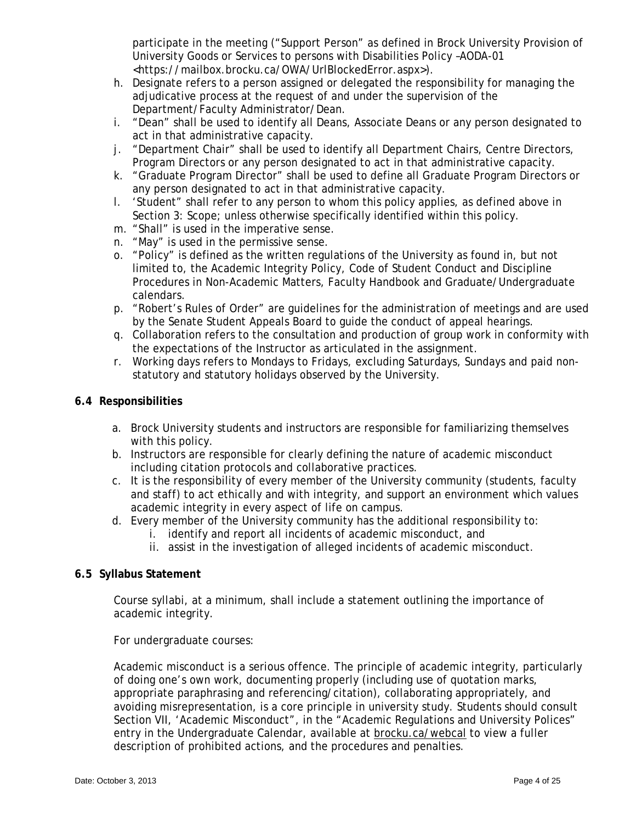participate in the meeting ("Support Person" as defined in Brock University Provision of University Goods or Services to persons with Disabilities Policy –AODA-01 <https://mailbox.brocku.ca/OWA/UrlBlockedError.aspx>).

- h. Designate refers to a person assigned or delegated the responsibility for managing the adjudicative process at the request of and under the supervision of the Department/Faculty Administrator/Dean.
- i. "Dean" shall be used to identify all Deans, Associate Deans or any person designated to act in that administrative capacity.
- j. "Department Chair" shall be used to identify all Department Chairs, Centre Directors, Program Directors or any person designated to act in that administrative capacity.
- k. "Graduate Program Director" shall be used to define all Graduate Program Directors or any person designated to act in that administrative capacity.
- l. 'Student" shall refer to any person to whom this policy applies, as defined above in Section 3: Scope; unless otherwise specifically identified within this policy.
- m. "Shall" is used in the imperative sense.
- n. "May" is used in the permissive sense.
- o. "Policy" is defined as the written regulations of the University as found in, but not limited to, the Academic Integrity Policy, Code of Student Conduct and Discipline Procedures in Non-Academic Matters, Faculty Handbook and Graduate/Undergraduate calendars.
- p. "Robert's Rules of Order" are guidelines for the administration of meetings and are used by the Senate Student Appeals Board to guide the conduct of appeal hearings.
- q. Collaboration refers to the consultation and production of group work in conformity with the expectations of the Instructor as articulated in the assignment.
- r. Working days refers to Mondays to Fridays, excluding Saturdays, Sundays and paid nonstatutory and statutory holidays observed by the University.

## **6.4 Responsibilities**

- a. Brock University students and instructors are responsible for familiarizing themselves with this policy.
- b. Instructors are responsible for clearly defining the nature of academic misconduct including citation protocols and collaborative practices.
- c. It is the responsibility of every member of the University community (students, faculty and staff) to act ethically and with integrity, and support an environment which values academic integrity in every aspect of life on campus.
- d. Every member of the University community has the additional responsibility to:
	- i. identify and report all incidents of academic misconduct, and
	- ii. assist in the investigation of alleged incidents of academic misconduct.

## **6.5 Syllabus Statement**

Course syllabi, at a minimum, shall include a statement outlining the importance of academic integrity.

For undergraduate courses:

Academic misconduct is a serious offence. The principle of academic integrity, particularly of doing one's own work, documenting properly (including use of quotation marks, appropriate paraphrasing and referencing/citation), collaborating appropriately, and avoiding misrepresentation, is a core principle in university study. Students should consult Section VII, 'Academic Misconduct", in the "Academic Regulations and University Polices" entry in the Undergraduate Calendar, available at brocku.ca/webcal to view a fuller description of prohibited actions, and the procedures and penalties.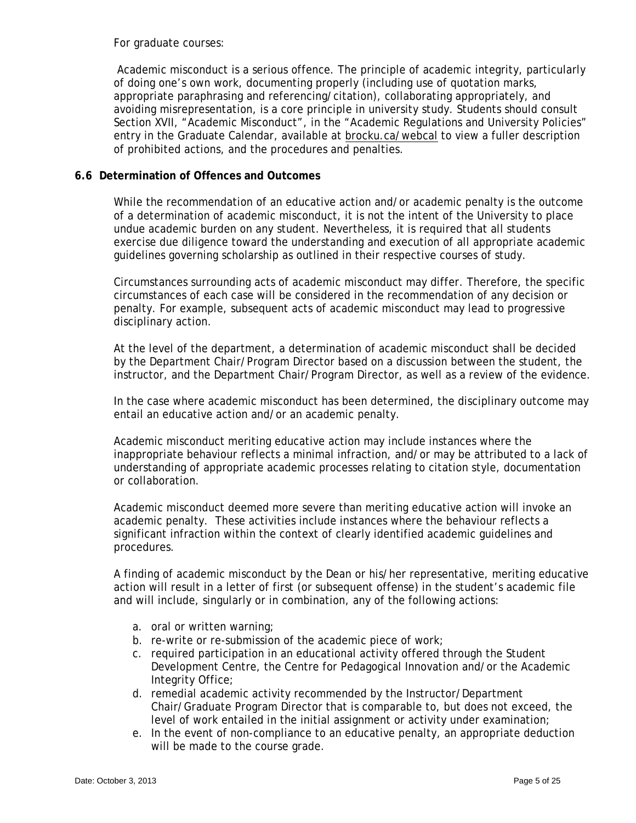For graduate courses:

 Academic misconduct is a serious offence. The principle of academic integrity, particularly of doing one's own work, documenting properly (including use of quotation marks, appropriate paraphrasing and referencing/citation), collaborating appropriately, and avoiding misrepresentation, is a core principle in university study. Students should consult Section XVII, "Academic Misconduct", in the "Academic Regulations and University Policies" entry in the Graduate Calendar, available at brocku.ca/webcal to view a fuller description of prohibited actions, and the procedures and penalties.

### **6.6 Determination of Offences and Outcomes**

While the recommendation of an educative action and/or academic penalty is the outcome of a determination of academic misconduct, it is not the intent of the University to place undue academic burden on any student. Nevertheless, it is required that all students exercise due diligence toward the understanding and execution of all appropriate academic guidelines governing scholarship as outlined in their respective courses of study.

Circumstances surrounding acts of academic misconduct may differ. Therefore, the specific circumstances of each case will be considered in the recommendation of any decision or penalty. For example, subsequent acts of academic misconduct may lead to progressive disciplinary action.

At the level of the department, a determination of academic misconduct shall be decided by the Department Chair/Program Director based on a discussion between the student, the instructor, and the Department Chair/Program Director, as well as a review of the evidence.

In the case where academic misconduct has been determined, the disciplinary outcome may entail an educative action and/or an academic penalty.

Academic misconduct meriting educative action may include instances where the inappropriate behaviour reflects a minimal infraction, and/or may be attributed to a lack of understanding of appropriate academic processes relating to citation style, documentation or collaboration.

Academic misconduct deemed more severe than meriting educative action will invoke an academic penalty. These activities include instances where the behaviour reflects a significant infraction within the context of clearly identified academic guidelines and procedures.

A finding of academic misconduct by the Dean or his/her representative, meriting educative action will result in a letter of first (or subsequent offense) in the student's academic file and will include, singularly or in combination, any of the following actions:

- a. oral or written warning;
- b. re-write or re-submission of the academic piece of work;
- c. required participation in an educational activity offered through the Student Development Centre, the Centre for Pedagogical Innovation and/or the Academic Integrity Office;
- d. remedial academic activity recommended by the Instructor/Department Chair/Graduate Program Director that is comparable to, but does not exceed, the level of work entailed in the initial assignment or activity under examination;
- e. In the event of non-compliance to an educative penalty, an appropriate deduction will be made to the course grade.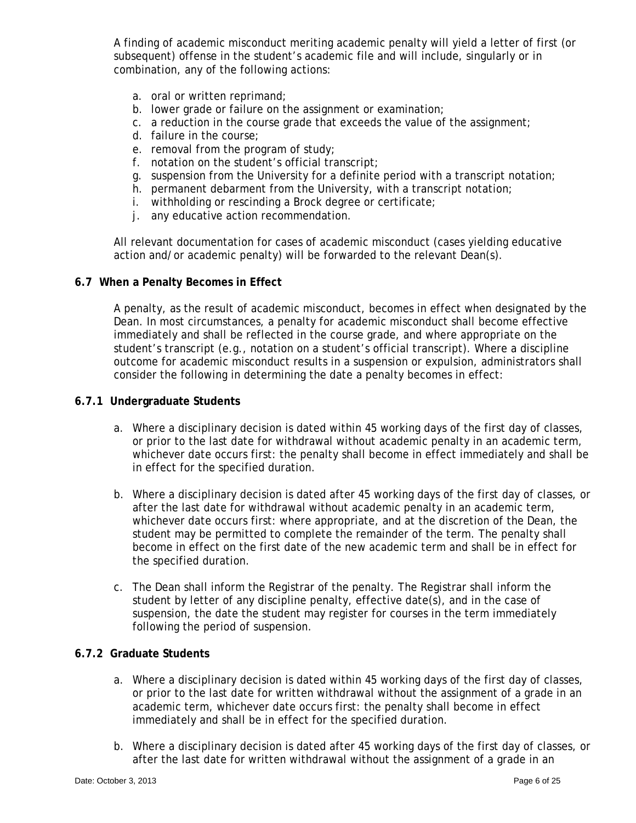A finding of academic misconduct meriting academic penalty will yield a letter of first (or subsequent) offense in the student's academic file and will include, singularly or in combination, any of the following actions:

- a. oral or written reprimand;
- b. lower grade or failure on the assignment or examination;
- c. a reduction in the course grade that exceeds the value of the assignment;
- d. failure in the course;
- e. removal from the program of study;
- f. notation on the student's official transcript;
- g. suspension from the University for a definite period with a transcript notation;
- h. permanent debarment from the University, with a transcript notation;
- i. withholding or rescinding a Brock degree or certificate;
- j. any educative action recommendation.

All relevant documentation for cases of academic misconduct (cases yielding educative action and/or academic penalty) will be forwarded to the relevant Dean(s).

### **6.7 When a Penalty Becomes in Effect**

A penalty, as the result of academic misconduct, becomes in effect when designated by the Dean. In most circumstances, a penalty for academic misconduct shall become effective immediately and shall be reflected in the course grade, and where appropriate on the student's transcript (e.g., notation on a student's official transcript). Where a discipline outcome for academic misconduct results in a suspension or expulsion, administrators shall consider the following in determining the date a penalty becomes in effect:

### **6.7.1 Undergraduate Students**

- a. Where a disciplinary decision is dated within 45 working days of the first day of classes, or prior to the last date for withdrawal without academic penalty in an academic term, whichever date occurs first: the penalty shall become in effect immediately and shall be in effect for the specified duration.
- b. Where a disciplinary decision is dated after 45 working days of the first day of classes, or after the last date for withdrawal without academic penalty in an academic term, whichever date occurs first: where appropriate, and at the discretion of the Dean, the student may be permitted to complete the remainder of the term. The penalty shall become in effect on the first date of the new academic term and shall be in effect for the specified duration.
- c. The Dean shall inform the Registrar of the penalty. The Registrar shall inform the student by letter of any discipline penalty, effective date(s), and in the case of suspension, the date the student may register for courses in the term immediately following the period of suspension.

### **6.7.2 Graduate Students**

- a. Where a disciplinary decision is dated within 45 working days of the first day of classes, or prior to the last date for written withdrawal without the assignment of a grade in an academic term, whichever date occurs first: the penalty shall become in effect immediately and shall be in effect for the specified duration.
- b. Where a disciplinary decision is dated after 45 working days of the first day of classes, or after the last date for written withdrawal without the assignment of a grade in an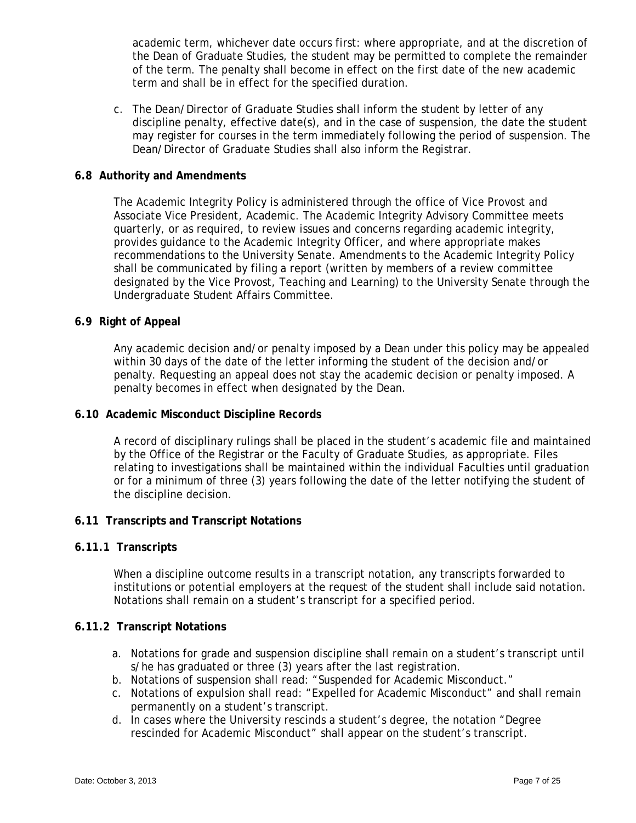academic term, whichever date occurs first: where appropriate, and at the discretion of the Dean of Graduate Studies, the student may be permitted to complete the remainder of the term. The penalty shall become in effect on the first date of the new academic term and shall be in effect for the specified duration.

c. The Dean/Director of Graduate Studies shall inform the student by letter of any discipline penalty, effective date(s), and in the case of suspension, the date the student may register for courses in the term immediately following the period of suspension. The Dean/Director of Graduate Studies shall also inform the Registrar.

### **6.8 Authority and Amendments**

The Academic Integrity Policy is administered through the office of Vice Provost and Associate Vice President, Academic. The Academic Integrity Advisory Committee meets quarterly, or as required, to review issues and concerns regarding academic integrity, provides guidance to the Academic Integrity Officer, and where appropriate makes recommendations to the University Senate. Amendments to the Academic Integrity Policy shall be communicated by filing a report (written by members of a review committee designated by the Vice Provost, Teaching and Learning) to the University Senate through the Undergraduate Student Affairs Committee.

## **6.9 Right of Appeal**

Any academic decision and/or penalty imposed by a Dean under this policy may be appealed within 30 days of the date of the letter informing the student of the decision and/or penalty. Requesting an appeal does not stay the academic decision or penalty imposed. A penalty becomes in effect when designated by the Dean.

### **6.10 Academic Misconduct Discipline Records**

A record of disciplinary rulings shall be placed in the student's academic file and maintained by the Office of the Registrar or the Faculty of Graduate Studies, as appropriate. Files relating to investigations shall be maintained within the individual Faculties until graduation or for a minimum of three (3) years following the date of the letter notifying the student of the discipline decision.

### **6.11 Transcripts and Transcript Notations**

### **6.11.1 Transcripts**

When a discipline outcome results in a transcript notation, any transcripts forwarded to institutions or potential employers at the request of the student shall include said notation. Notations shall remain on a student's transcript for a specified period.

### **6.11.2 Transcript Notations**

- a. Notations for grade and suspension discipline shall remain on a student's transcript until s/he has graduated or three (3) years after the last registration.
- b. Notations of suspension shall read: "Suspended for Academic Misconduct."
- c. Notations of expulsion shall read: "Expelled for Academic Misconduct" and shall remain permanently on a student's transcript.
- d. In cases where the University rescinds a student's degree, the notation "Degree rescinded for Academic Misconduct" shall appear on the student's transcript.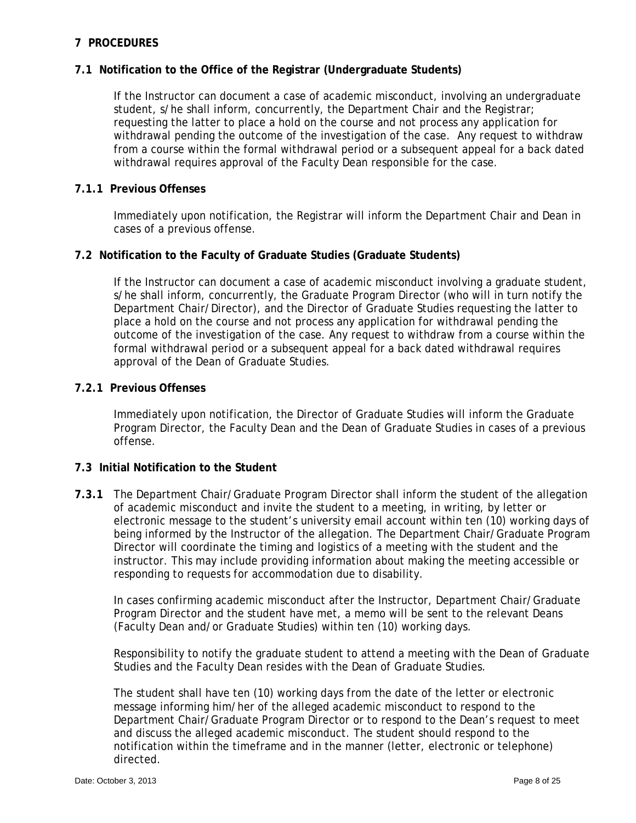## **7 PROCEDURES**

## **7.1 Notification to the Office of the Registrar (Undergraduate Students)**

If the Instructor can document a case of academic misconduct, involving an undergraduate student, s/he shall inform, concurrently, the Department Chair and the Registrar; requesting the latter to place a hold on the course and not process any application for withdrawal pending the outcome of the investigation of the case. Any request to withdraw from a course within the formal withdrawal period or a subsequent appeal for a back dated withdrawal requires approval of the Faculty Dean responsible for the case.

## **7.1.1 Previous Offenses**

Immediately upon notification, the Registrar will inform the Department Chair and Dean in cases of a previous offense.

## **7.2 Notification to the Faculty of Graduate Studies (Graduate Students)**

If the Instructor can document a case of academic misconduct involving a graduate student, s/he shall inform, concurrently, the Graduate Program Director (who will in turn notify the Department Chair/Director), and the Director of Graduate Studies requesting the latter to place a hold on the course and not process any application for withdrawal pending the outcome of the investigation of the case. Any request to withdraw from a course within the formal withdrawal period or a subsequent appeal for a back dated withdrawal requires approval of the Dean of Graduate Studies.

### **7.2.1 Previous Offenses**

Immediately upon notification, the Director of Graduate Studies will inform the Graduate Program Director, the Faculty Dean and the Dean of Graduate Studies in cases of a previous offense.

### **7.3 Initial Notification to the Student**

**7.3.1** The Department Chair/Graduate Program Director shall inform the student of the allegation of academic misconduct and invite the student to a meeting, in writing, by letter or electronic message to the student's university email account within ten (10) working days of being informed by the Instructor of the allegation. The Department Chair/Graduate Program Director will coordinate the timing and logistics of a meeting with the student and the instructor. This may include providing information about making the meeting accessible or responding to requests for accommodation due to disability.

In cases confirming academic misconduct after the Instructor, Department Chair/Graduate Program Director and the student have met, a memo will be sent to the relevant Deans (Faculty Dean and/or Graduate Studies) within ten (10) working days.

Responsibility to notify the graduate student to attend a meeting with the Dean of Graduate Studies and the Faculty Dean resides with the Dean of Graduate Studies.

The student shall have ten (10) working days from the date of the letter or electronic message informing him/her of the alleged academic misconduct to respond to the Department Chair/Graduate Program Director or to respond to the Dean's request to meet and discuss the alleged academic misconduct. The student should respond to the notification within the timeframe and in the manner (letter, electronic or telephone) directed.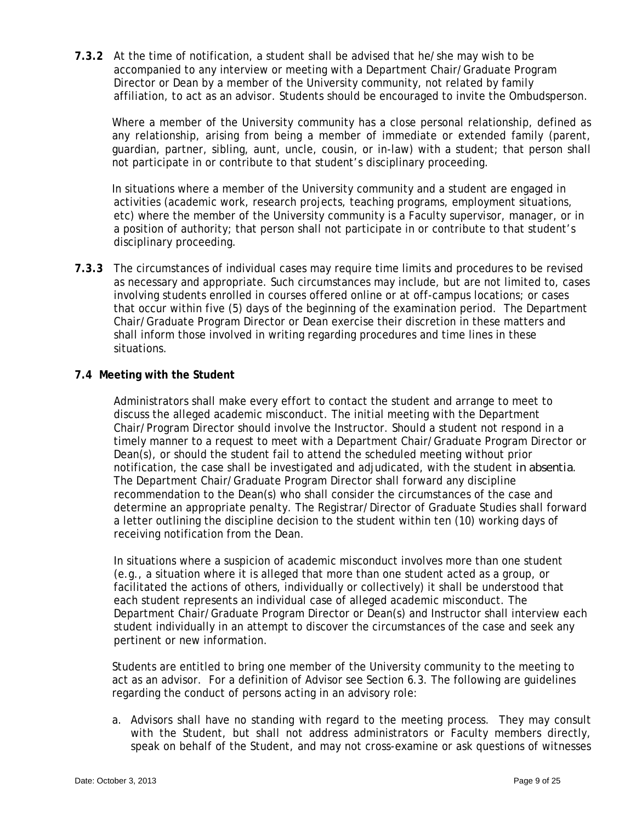**7.3.2** At the time of notification, a student shall be advised that he/she may wish to be accompanied to any interview or meeting with a Department Chair/Graduate Program Director or Dean by a member of the University community, not related by family affiliation, to act as an advisor. Students should be encouraged to invite the Ombudsperson.

Where a member of the University community has a close personal relationship, defined as any relationship, arising from being a member of immediate or extended family (parent, guardian, partner, sibling, aunt, uncle, cousin, or in-law) with a student; that person shall not participate in or contribute to that student's disciplinary proceeding.

In situations where a member of the University community and a student are engaged in activities (academic work, research projects, teaching programs, employment situations, etc) where the member of the University community is a Faculty supervisor, manager, or in a position of authority; that person shall not participate in or contribute to that student's disciplinary proceeding.

**7.3.3** The circumstances of individual cases may require time limits and procedures to be revised as necessary and appropriate. Such circumstances may include, but are not limited to, cases involving students enrolled in courses offered online or at off-campus locations; or cases that occur within five (5) days of the beginning of the examination period. The Department Chair/Graduate Program Director or Dean exercise their discretion in these matters and shall inform those involved in writing regarding procedures and time lines in these situations.

## **7.4 Meeting with the Student**

Administrators shall make every effort to contact the student and arrange to meet to discuss the alleged academic misconduct. The initial meeting with the Department Chair/Program Director should involve the Instructor. Should a student not respond in a timely manner to a request to meet with a Department Chair/Graduate Program Director or Dean(s), or should the student fail to attend the scheduled meeting without prior notification, the case shall be investigated and adjudicated, with the student *in absentia*. The Department Chair/Graduate Program Director shall forward any discipline recommendation to the Dean(s) who shall consider the circumstances of the case and determine an appropriate penalty. The Registrar/Director of Graduate Studies shall forward a letter outlining the discipline decision to the student within ten (10) working days of receiving notification from the Dean.

In situations where a suspicion of academic misconduct involves more than one student (e.g., a situation where it is alleged that more than one student acted as a group, or facilitated the actions of others, individually or collectively) it shall be understood that each student represents an individual case of alleged academic misconduct. The Department Chair/Graduate Program Director or Dean(s) and Instructor shall interview each student individually in an attempt to discover the circumstances of the case and seek any pertinent or new information.

 Students are entitled to bring one member of the University community to the meeting to act as an advisor. For a definition of Advisor see Section 6.3. The following are guidelines regarding the conduct of persons acting in an advisory role:

a. Advisors shall have no standing with regard to the meeting process. They may consult with the Student, but shall not address administrators or Faculty members directly, speak on behalf of the Student, and may not cross-examine or ask questions of witnesses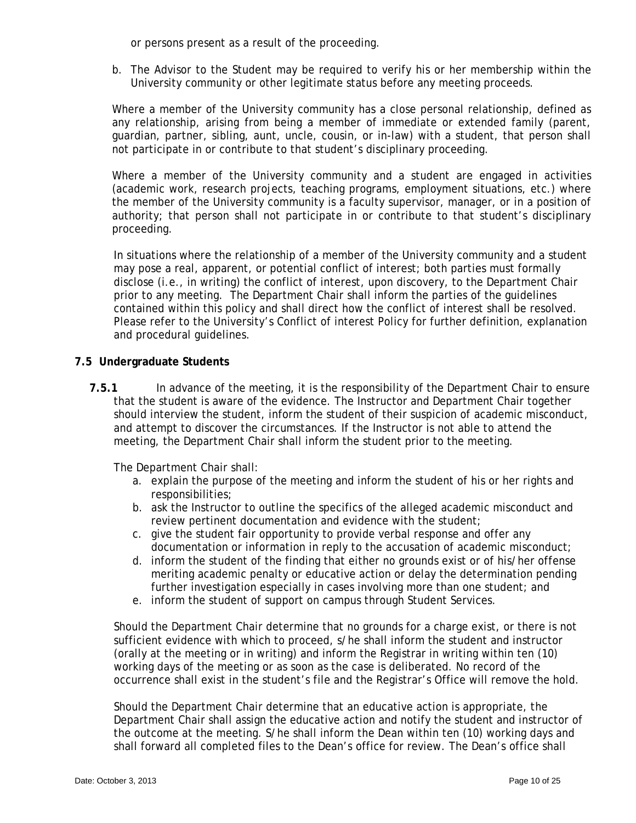or persons present as a result of the proceeding.

b. The Advisor to the Student may be required to verify his or her membership within the University community or other legitimate status before any meeting proceeds.

 Where a member of the University community has a close personal relationship, defined as any relationship, arising from being a member of immediate or extended family (parent, guardian, partner, sibling, aunt, uncle, cousin, or in-law) with a student, that person shall not participate in or contribute to that student's disciplinary proceeding.

Where a member of the University community and a student are engaged in activities (academic work, research projects, teaching programs, employment situations, etc.) where the member of the University community is a faculty supervisor, manager, or in a position of authority; that person shall not participate in or contribute to that student's disciplinary proceeding.

In situations where the relationship of a member of the University community and a student may pose a real, apparent, or potential conflict of interest; both parties must formally disclose (i.e., in writing) the conflict of interest, upon discovery, to the Department Chair prior to any meeting. The Department Chair shall inform the parties of the guidelines contained within this policy and shall direct how the conflict of interest shall be resolved. Please refer to the University's Conflict of interest Policy for further definition, explanation and procedural guidelines.

### **7.5 Undergraduate Students**

**7.5.1** In advance of the meeting, it is the responsibility of the Department Chair to ensure that the student is aware of the evidence. The Instructor and Department Chair together should interview the student, inform the student of their suspicion of academic misconduct, and attempt to discover the circumstances. If the Instructor is not able to attend the meeting, the Department Chair shall inform the student prior to the meeting.

The Department Chair shall:

- a. explain the purpose of the meeting and inform the student of his or her rights and responsibilities;
- b. ask the Instructor to outline the specifics of the alleged academic misconduct and review pertinent documentation and evidence with the student;
- c. give the student fair opportunity to provide verbal response and offer any documentation or information in reply to the accusation of academic misconduct;
- d. inform the student of the finding that either no grounds exist or of his/her offense meriting academic penalty or educative action or delay the determination pending further investigation especially in cases involving more than one student; and
- e. inform the student of support on campus through Student Services.

Should the Department Chair determine that no grounds for a charge exist, or there is not sufficient evidence with which to proceed, s/he shall inform the student and instructor (orally at the meeting or in writing) and inform the Registrar in writing within ten (10) working days of the meeting or as soon as the case is deliberated. No record of the occurrence shall exist in the student's file and the Registrar's Office will remove the hold.

Should the Department Chair determine that an educative action is appropriate, the Department Chair shall assign the educative action and notify the student and instructor of the outcome at the meeting. S/he shall inform the Dean within ten (10) working days and shall forward all completed files to the Dean's office for review. The Dean's office shall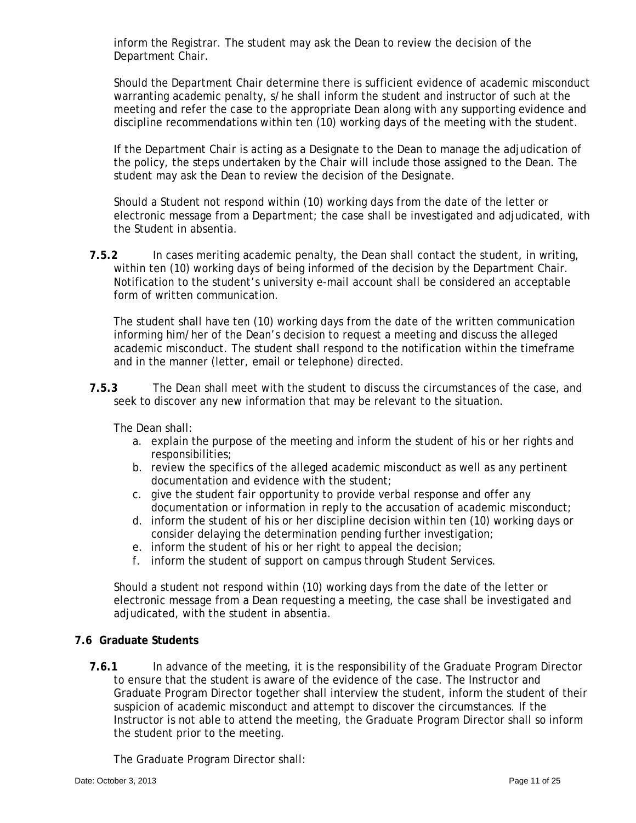inform the Registrar. The student may ask the Dean to review the decision of the Department Chair.

Should the Department Chair determine there is sufficient evidence of academic misconduct warranting academic penalty, s/he shall inform the student and instructor of such at the meeting and refer the case to the appropriate Dean along with any supporting evidence and discipline recommendations within ten (10) working days of the meeting with the student.

If the Department Chair is acting as a Designate to the Dean to manage the adjudication of the policy, the steps undertaken by the Chair will include those assigned to the Dean. The student may ask the Dean to review the decision of the Designate.

Should a Student not respond within (10) working days from the date of the letter or electronic message from a Department; the case shall be investigated and adjudicated, with the Student in absentia.

**7.5.2** In cases meriting academic penalty, the Dean shall contact the student, in writing, within ten (10) working days of being informed of the decision by the Department Chair. Notification to the student's university e-mail account shall be considered an acceptable form of written communication.

The student shall have ten (10) working days from the date of the written communication informing him/her of the Dean's decision to request a meeting and discuss the alleged academic misconduct. The student shall respond to the notification within the timeframe and in the manner (letter, email or telephone) directed.

**7.5.3** The Dean shall meet with the student to discuss the circumstances of the case, and seek to discover any new information that may be relevant to the situation.

The Dean shall:

- a. explain the purpose of the meeting and inform the student of his or her rights and responsibilities;
- b. review the specifics of the alleged academic misconduct as well as any pertinent documentation and evidence with the student;
- c. give the student fair opportunity to provide verbal response and offer any documentation or information in reply to the accusation of academic misconduct;
- d. inform the student of his or her discipline decision within ten (10) working days or consider delaying the determination pending further investigation;
- e. inform the student of his or her right to appeal the decision;
- f. inform the student of support on campus through Student Services.

Should a student not respond within (10) working days from the date of the letter or electronic message from a Dean requesting a meeting, the case shall be investigated and adjudicated, with the student in absentia.

# **7.6 Graduate Students**

**7.6.1** In advance of the meeting, it is the responsibility of the Graduate Program Director to ensure that the student is aware of the evidence of the case. The Instructor and Graduate Program Director together shall interview the student, inform the student of their suspicion of academic misconduct and attempt to discover the circumstances. If the Instructor is not able to attend the meeting, the Graduate Program Director shall so inform the student prior to the meeting.

The Graduate Program Director shall: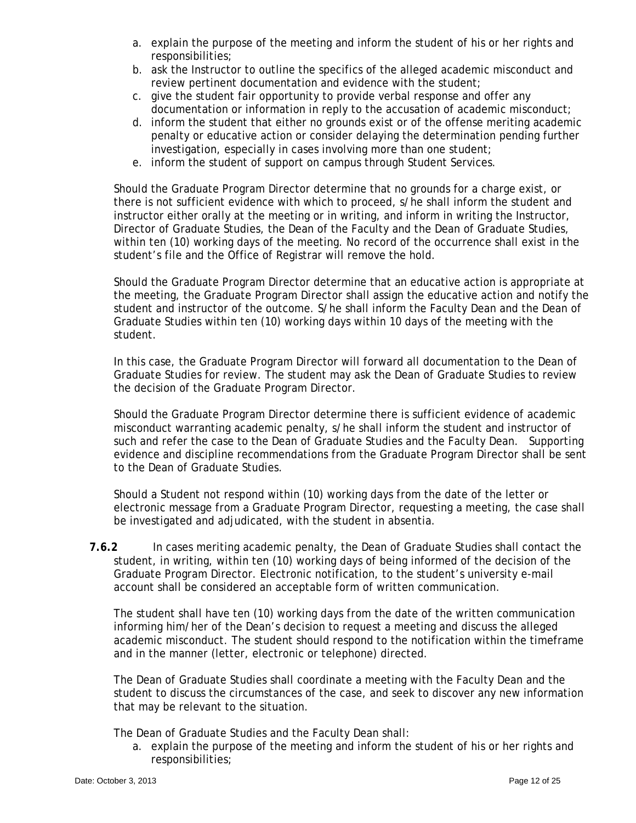- a. explain the purpose of the meeting and inform the student of his or her rights and responsibilities;
- b. ask the Instructor to outline the specifics of the alleged academic misconduct and review pertinent documentation and evidence with the student;
- c. give the student fair opportunity to provide verbal response and offer any documentation or information in reply to the accusation of academic misconduct;
- d. inform the student that either no grounds exist or of the offense meriting academic penalty or educative action or consider delaying the determination pending further investigation, especially in cases involving more than one student;
- e. inform the student of support on campus through Student Services.

Should the Graduate Program Director determine that no grounds for a charge exist, or there is not sufficient evidence with which to proceed, s/he shall inform the student and instructor either orally at the meeting or in writing, and inform in writing the Instructor, Director of Graduate Studies, the Dean of the Faculty and the Dean of Graduate Studies, within ten (10) working days of the meeting. No record of the occurrence shall exist in the student's file and the Office of Registrar will remove the hold.

Should the Graduate Program Director determine that an educative action is appropriate at the meeting, the Graduate Program Director shall assign the educative action and notify the student and instructor of the outcome. S/he shall inform the Faculty Dean and the Dean of Graduate Studies within ten (10) working days within 10 days of the meeting with the student.

In this case, the Graduate Program Director will forward all documentation to the Dean of Graduate Studies for review. The student may ask the Dean of Graduate Studies to review the decision of the Graduate Program Director.

Should the Graduate Program Director determine there is sufficient evidence of academic misconduct warranting academic penalty, s/he shall inform the student and instructor of such and refer the case to the Dean of Graduate Studies and the Faculty Dean. Supporting evidence and discipline recommendations from the Graduate Program Director shall be sent to the Dean of Graduate Studies.

Should a Student not respond within (10) working days from the date of the letter or electronic message from a Graduate Program Director, requesting a meeting, the case shall be investigated and adjudicated, with the student in absentia.

**7.6.2** In cases meriting academic penalty, the Dean of Graduate Studies shall contact the student, in writing, within ten (10) working days of being informed of the decision of the Graduate Program Director. Electronic notification, to the student's university e-mail account shall be considered an acceptable form of written communication.

The student shall have ten (10) working days from the date of the written communication informing him/her of the Dean's decision to request a meeting and discuss the alleged academic misconduct. The student should respond to the notification within the timeframe and in the manner (letter, electronic or telephone) directed.

The Dean of Graduate Studies shall coordinate a meeting with the Faculty Dean and the student to discuss the circumstances of the case, and seek to discover any new information that may be relevant to the situation.

The Dean of Graduate Studies and the Faculty Dean shall:

a. explain the purpose of the meeting and inform the student of his or her rights and responsibilities;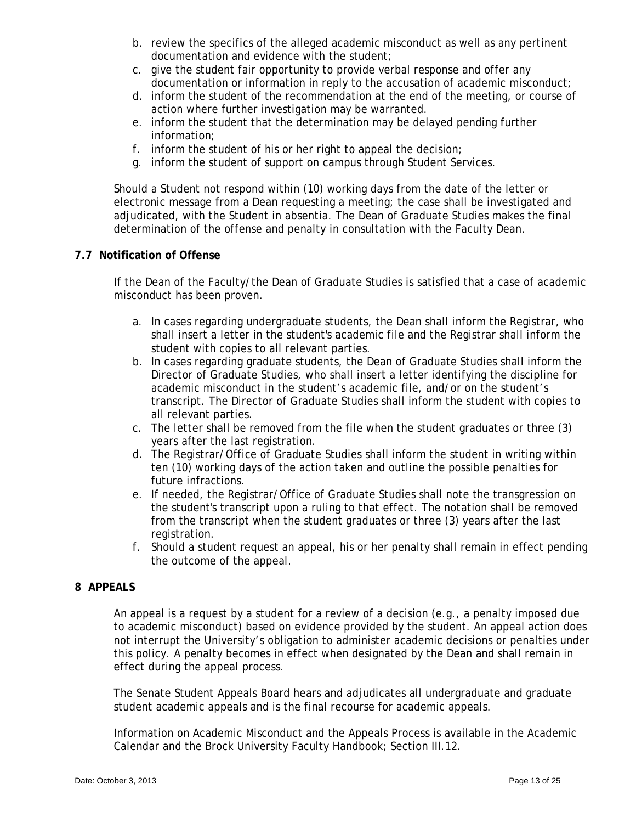- b. review the specifics of the alleged academic misconduct as well as any pertinent documentation and evidence with the student;
- c. give the student fair opportunity to provide verbal response and offer any documentation or information in reply to the accusation of academic misconduct;
- d. inform the student of the recommendation at the end of the meeting, or course of action where further investigation may be warranted.
- e. inform the student that the determination may be delayed pending further information;
- f. inform the student of his or her right to appeal the decision;
- g. inform the student of support on campus through Student Services.

Should a Student not respond within (10) working days from the date of the letter or electronic message from a Dean requesting a meeting; the case shall be investigated and adjudicated, with the Student in absentia. The Dean of Graduate Studies makes the final determination of the offense and penalty in consultation with the Faculty Dean.

## **7.7 Notification of Offense**

If the Dean of the Faculty/the Dean of Graduate Studies is satisfied that a case of academic misconduct has been proven.

- a. In cases regarding undergraduate students, the Dean shall inform the Registrar, who shall insert a letter in the student's academic file and the Registrar shall inform the student with copies to all relevant parties.
- b. In cases regarding graduate students, the Dean of Graduate Studies shall inform the Director of Graduate Studies, who shall insert a letter identifying the discipline for academic misconduct in the student's academic file, and/or on the student's transcript. The Director of Graduate Studies shall inform the student with copies to all relevant parties.
- c. The letter shall be removed from the file when the student graduates or three (3) years after the last registration.
- d. The Registrar/Office of Graduate Studies shall inform the student in writing within ten (10) working days of the action taken and outline the possible penalties for future infractions.
- e. If needed, the Registrar/Office of Graduate Studies shall note the transgression on the student's transcript upon a ruling to that effect. The notation shall be removed from the transcript when the student graduates or three (3) years after the last registration.
- f. Should a student request an appeal, his or her penalty shall remain in effect pending the outcome of the appeal.

## **8 APPEALS**

An appeal is a request by a student for a review of a decision (e.g., a penalty imposed due to academic misconduct) based on evidence provided by the student. An appeal action does not interrupt the University's obligation to administer academic decisions or penalties under this policy. A penalty becomes in effect when designated by the Dean and shall remain in effect during the appeal process.

The Senate Student Appeals Board hears and adjudicates all undergraduate and graduate student academic appeals and is the final recourse for academic appeals.

Information on Academic Misconduct and the Appeals Process is available in the Academic Calendar and the Brock University Faculty Handbook; Section III.12.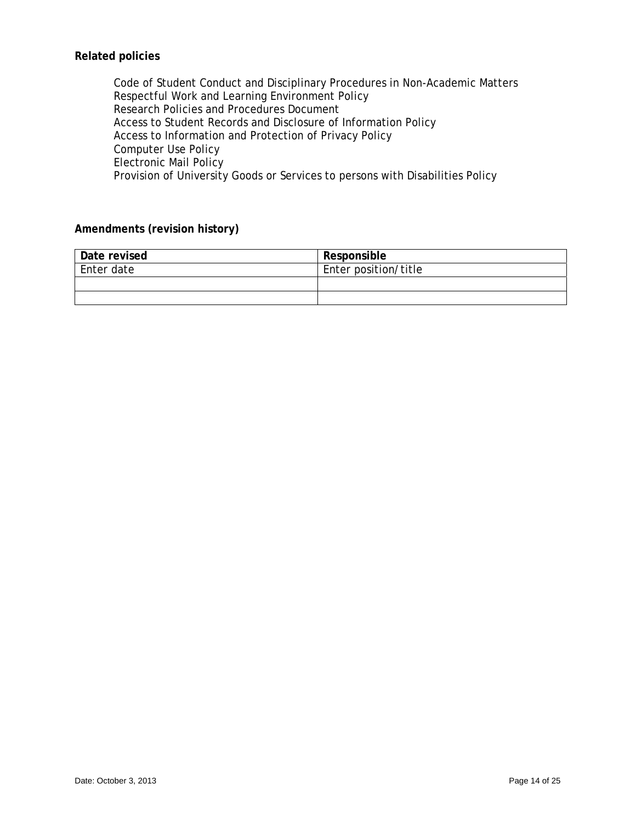# **Related policies**

Code of Student Conduct and Disciplinary Procedures in Non-Academic Matters Respectful Work and Learning Environment Policy Research Policies and Procedures Document Access to Student Records and Disclosure of Information Policy Access to Information and Protection of Privacy Policy Computer Use Policy Electronic Mail Policy Provision of University Goods or Services to persons with Disabilities Policy

## **Amendments (revision history)**

| Date revised | Responsible          |
|--------------|----------------------|
| Enter date   | Enter position/title |
|              |                      |
|              |                      |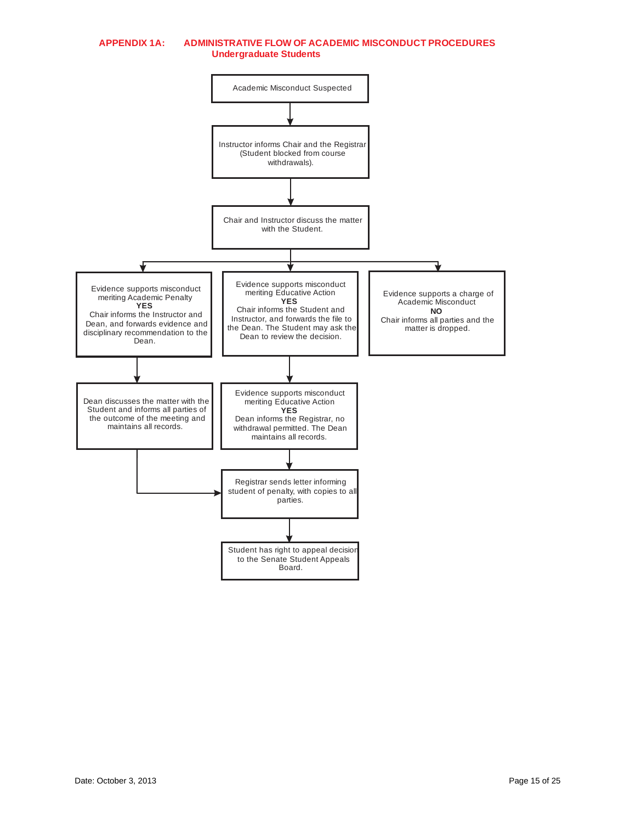#### **APPENDIX 1A: ADMINISTRATIVE FLOW OF ACADEMIC MISCONDUCT PROCEDURES Undergraduate Students**

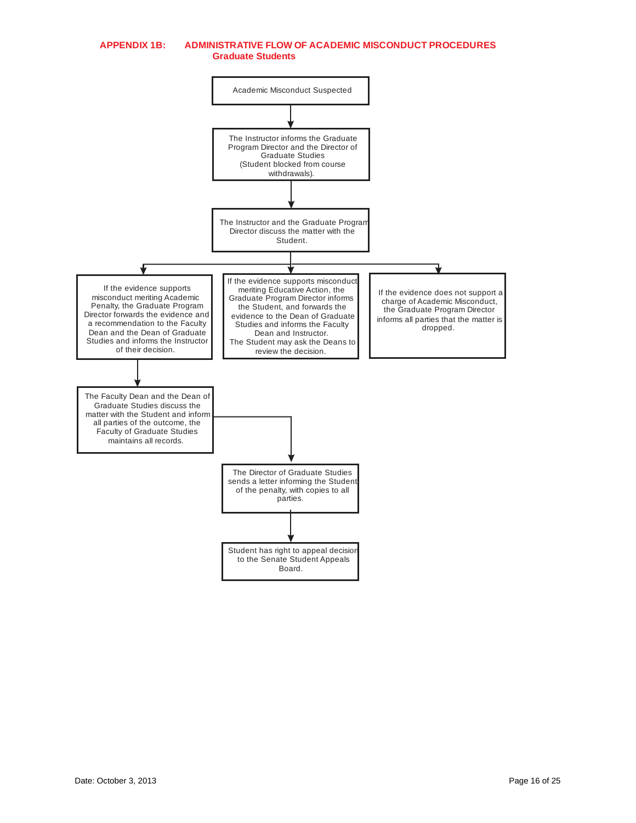#### **APPENDIX 1B: ADMINISTRATIVE FLOW OF ACADEMIC MISCONDUCT PROCEDURES Graduate Students**

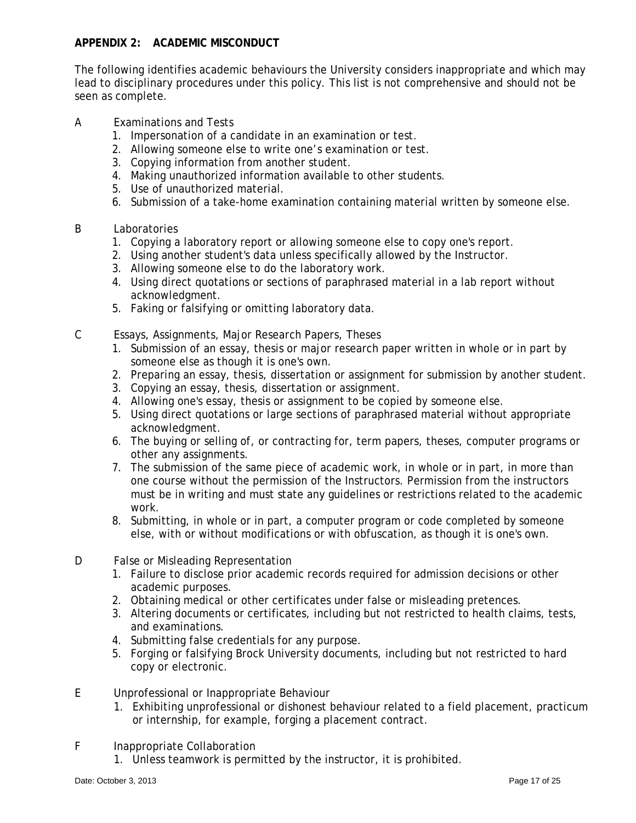## **APPENDIX 2: ACADEMIC MISCONDUCT**

The following identifies academic behaviours the University considers inappropriate and which may lead to disciplinary procedures under this policy. This list is not comprehensive and should not be seen as complete.

- A Examinations and Tests
	- 1. Impersonation of a candidate in an examination or test.
	- 2. Allowing someone else to write one's examination or test.
	- 3. Copying information from another student.
	- 4. Making unauthorized information available to other students.
	- 5. Use of unauthorized material.
	- 6. Submission of a take-home examination containing material written by someone else.
- B Laboratories
	- 1. Copying a laboratory report or allowing someone else to copy one's report.
	- 2. Using another student's data unless specifically allowed by the Instructor.
	- 3. Allowing someone else to do the laboratory work.
	- 4. Using direct quotations or sections of paraphrased material in a lab report without acknowledgment.
	- 5. Faking or falsifying or omitting laboratory data.
- C Essays, Assignments, Major Research Papers, Theses
	- 1. Submission of an essay, thesis or major research paper written in whole or in part by someone else as though it is one's own.
	- 2. Preparing an essay, thesis, dissertation or assignment for submission by another student.
	- 3. Copying an essay, thesis, dissertation or assignment.
	- 4. Allowing one's essay, thesis or assignment to be copied by someone else.
	- 5. Using direct quotations or large sections of paraphrased material without appropriate acknowledgment.
	- 6. The buying or selling of, or contracting for, term papers, theses, computer programs or other any assignments.
	- 7. The submission of the same piece of academic work, in whole or in part, in more than one course without the permission of the Instructors. Permission from the instructors must be in writing and must state any guidelines or restrictions related to the academic work.
	- 8. Submitting, in whole or in part, a computer program or code completed by someone else, with or without modifications or with obfuscation, as though it is one's own.
- D False or Misleading Representation
	- 1. Failure to disclose prior academic records required for admission decisions or other academic purposes.
	- 2. Obtaining medical or other certificates under false or misleading pretences.
	- 3. Altering documents or certificates, including but not restricted to health claims, tests, and examinations.
	- 4. Submitting false credentials for any purpose.
	- 5. Forging or falsifying Brock University documents, including but not restricted to hard copy or electronic.
- E Unprofessional or Inappropriate Behaviour
	- 1. Exhibiting unprofessional or dishonest behaviour related to a field placement, practicum or internship, for example, forging a placement contract.
- F Inappropriate Collaboration
	- 1. Unless teamwork is permitted by the instructor, it is prohibited.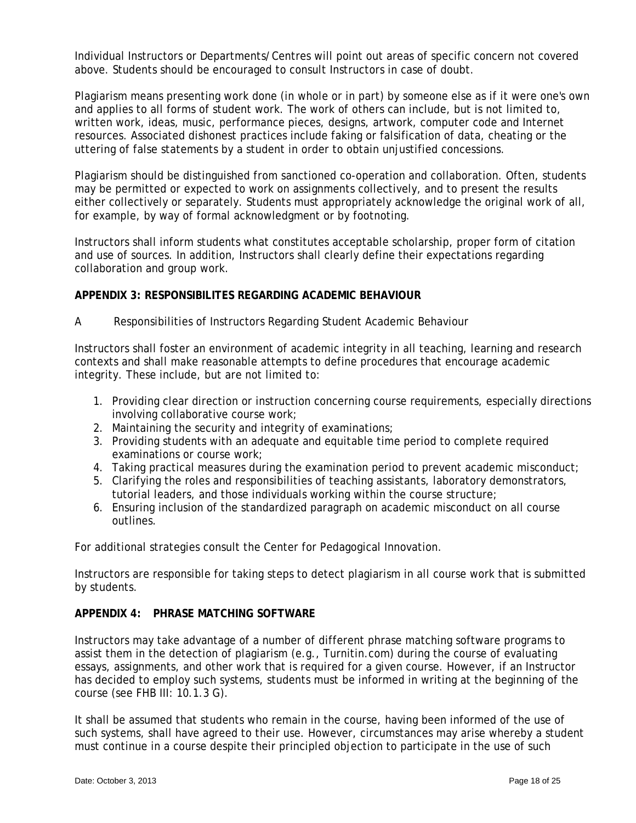Individual Instructors or Departments/Centres will point out areas of specific concern not covered above. Students should be encouraged to consult Instructors in case of doubt.

Plagiarism means presenting work done (in whole or in part) by someone else as if it were one's own and applies to all forms of student work. The work of others can include, but is not limited to, written work, ideas, music, performance pieces, designs, artwork, computer code and Internet resources. Associated dishonest practices include faking or falsification of data, cheating or the uttering of false statements by a student in order to obtain unjustified concessions.

Plagiarism should be distinguished from sanctioned co-operation and collaboration. Often, students may be permitted or expected to work on assignments collectively, and to present the results either collectively or separately. Students must appropriately acknowledge the original work of all, for example, by way of formal acknowledgment or by footnoting.

Instructors shall inform students what constitutes acceptable scholarship, proper form of citation and use of sources. In addition, Instructors shall clearly define their expectations regarding collaboration and group work.

### **APPENDIX 3: RESPONSIBILITES REGARDING ACADEMIC BEHAVIOUR**

### A Responsibilities of Instructors Regarding Student Academic Behaviour

Instructors shall foster an environment of academic integrity in all teaching, learning and research contexts and shall make reasonable attempts to define procedures that encourage academic integrity. These include, but are not limited to:

- 1. Providing clear direction or instruction concerning course requirements, especially directions involving collaborative course work;
- 2. Maintaining the security and integrity of examinations;
- 3. Providing students with an adequate and equitable time period to complete required examinations or course work;
- 4. Taking practical measures during the examination period to prevent academic misconduct;
- 5. Clarifying the roles and responsibilities of teaching assistants, laboratory demonstrators, tutorial leaders, and those individuals working within the course structure;
- 6. Ensuring inclusion of the standardized paragraph on academic misconduct on all course outlines.

For additional strategies consult the Center for Pedagogical Innovation.

Instructors are responsible for taking steps to detect plagiarism in all course work that is submitted by students.

# **APPENDIX 4: PHRASE MATCHING SOFTWARE**

Instructors may take advantage of a number of different phrase matching software programs to assist them in the detection of plagiarism (e.g., Turnitin.com) during the course of evaluating essays, assignments, and other work that is required for a given course. However, if an Instructor has decided to employ such systems, students must be informed in writing at the beginning of the course (see FHB III: 10.1.3 G).

It shall be assumed that students who remain in the course, having been informed of the use of such systems, shall have agreed to their use. However, circumstances may arise whereby a student must continue in a course despite their principled objection to participate in the use of such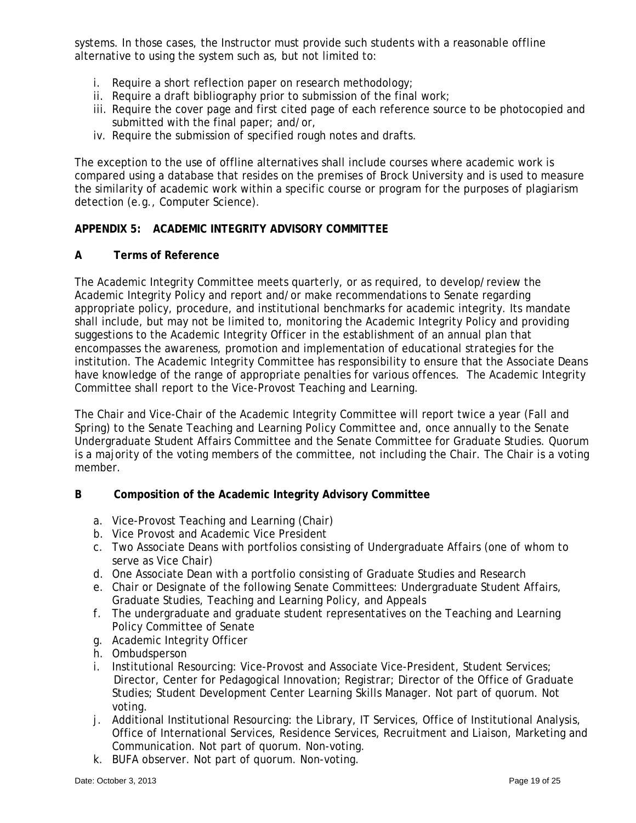systems. In those cases, the Instructor must provide such students with a reasonable offline alternative to using the system such as, but not limited to:

- i. Require a short reflection paper on research methodology;
- ii. Require a draft bibliography prior to submission of the final work;
- iii. Require the cover page and first cited page of each reference source to be photocopied and submitted with the final paper; and/or,
- iv. Require the submission of specified rough notes and drafts.

The exception to the use of offline alternatives shall include courses where academic work is compared using a database that resides on the premises of Brock University and is used to measure the similarity of academic work within a specific course or program for the purposes of plagiarism detection (e.g., Computer Science).

## **APPENDIX 5: ACADEMIC INTEGRITY ADVISORY COMMITTEE**

### **A Terms of Reference**

The Academic Integrity Committee meets quarterly, or as required, to develop/review the Academic Integrity Policy and report and/or make recommendations to Senate regarding appropriate policy, procedure, and institutional benchmarks for academic integrity. Its mandate shall include, but may not be limited to, monitoring the Academic Integrity Policy and providing suggestions to the Academic Integrity Officer in the establishment of an annual plan that encompasses the awareness, promotion and implementation of educational strategies for the institution. The Academic Integrity Committee has responsibility to ensure that the Associate Deans have knowledge of the range of appropriate penalties for various offences. The Academic Integrity Committee shall report to the Vice-Provost Teaching and Learning.

The Chair and Vice-Chair of the Academic Integrity Committee will report twice a year (Fall and Spring) to the Senate Teaching and Learning Policy Committee and, once annually to the Senate Undergraduate Student Affairs Committee and the Senate Committee for Graduate Studies. Quorum is a majority of the voting members of the committee, not including the Chair. The Chair is a voting member.

### **B Composition of the Academic Integrity Advisory Committee**

- a. Vice-Provost Teaching and Learning (Chair)
- b. Vice Provost and Academic Vice President
- c. Two Associate Deans with portfolios consisting of Undergraduate Affairs (one of whom to serve as Vice Chair)
- d. One Associate Dean with a portfolio consisting of Graduate Studies and Research
- e. Chair or Designate of the following Senate Committees: Undergraduate Student Affairs, Graduate Studies, Teaching and Learning Policy, and Appeals
- f. The undergraduate and graduate student representatives on the Teaching and Learning Policy Committee of Senate
- g. Academic Integrity Officer
- h. Ombudsperson
- i. Institutional Resourcing: Vice-Provost and Associate Vice-President, Student Services; Director, Center for Pedagogical Innovation; Registrar; Director of the Office of Graduate Studies; Student Development Center Learning Skills Manager. Not part of quorum. Not voting.
- j. Additional Institutional Resourcing: the Library, IT Services, Office of Institutional Analysis, Office of International Services, Residence Services, Recruitment and Liaison, Marketing and Communication. Not part of quorum. Non-voting.
- k. BUFA observer. Not part of quorum. Non-voting.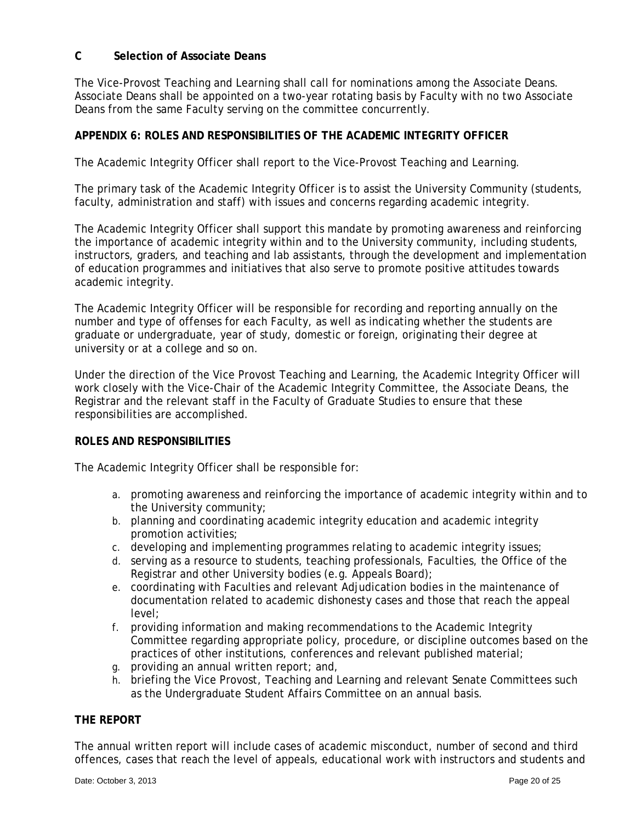## **C Selection of Associate Deans**

The Vice-Provost Teaching and Learning shall call for nominations among the Associate Deans. Associate Deans shall be appointed on a two-year rotating basis by Faculty with no two Associate Deans from the same Faculty serving on the committee concurrently.

## **APPENDIX 6: ROLES AND RESPONSIBILITIES OF THE ACADEMIC INTEGRITY OFFICER**

The Academic Integrity Officer shall report to the Vice-Provost Teaching and Learning.

The primary task of the Academic Integrity Officer is to assist the University Community (students, faculty, administration and staff) with issues and concerns regarding academic integrity.

The Academic Integrity Officer shall support this mandate by promoting awareness and reinforcing the importance of academic integrity within and to the University community, including students, instructors, graders, and teaching and lab assistants, through the development and implementation of education programmes and initiatives that also serve to promote positive attitudes towards academic integrity.

The Academic Integrity Officer will be responsible for recording and reporting annually on the number and type of offenses for each Faculty, as well as indicating whether the students are graduate or undergraduate, year of study, domestic or foreign, originating their degree at university or at a college and so on.

Under the direction of the Vice Provost Teaching and Learning, the Academic Integrity Officer will work closely with the Vice-Chair of the Academic Integrity Committee, the Associate Deans, the Registrar and the relevant staff in the Faculty of Graduate Studies to ensure that these responsibilities are accomplished.

### **ROLES AND RESPONSIBILITIES**

The Academic Integrity Officer shall be responsible for:

- a. promoting awareness and reinforcing the importance of academic integrity within and to the University community;
- b. planning and coordinating academic integrity education and academic integrity promotion activities;
- c. developing and implementing programmes relating to academic integrity issues;
- d. serving as a resource to students, teaching professionals, Faculties, the Office of the Registrar and other University bodies (e.g. Appeals Board);
- e. coordinating with Faculties and relevant Adjudication bodies in the maintenance of documentation related to academic dishonesty cases and those that reach the appeal level;
- f. providing information and making recommendations to the Academic Integrity Committee regarding appropriate policy, procedure, or discipline outcomes based on the practices of other institutions, conferences and relevant published material;
- g. providing an annual written report; and,
- h. briefing the Vice Provost, Teaching and Learning and relevant Senate Committees such as the Undergraduate Student Affairs Committee on an annual basis.

### **THE REPORT**

The annual written report will include cases of academic misconduct, number of second and third offences, cases that reach the level of appeals, educational work with instructors and students and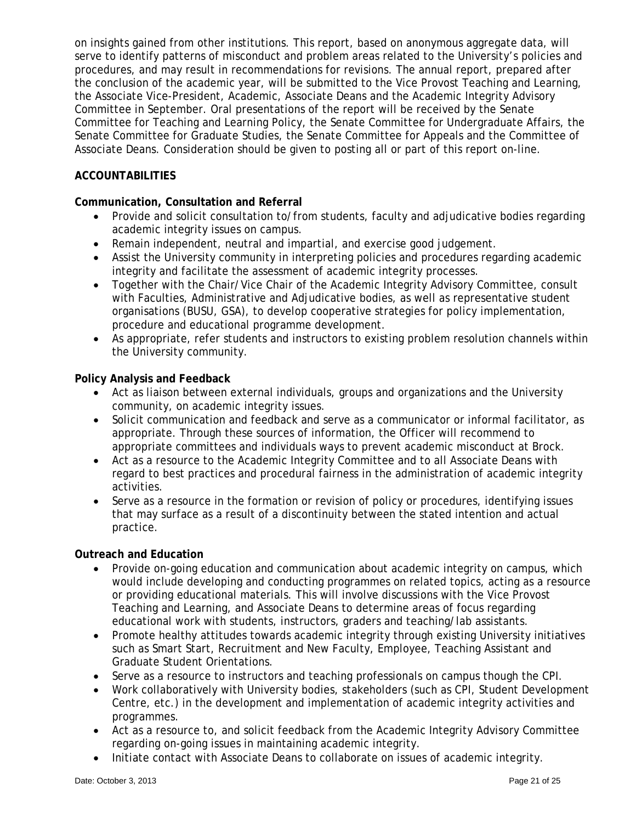on insights gained from other institutions. This report, based on anonymous aggregate data, will serve to identify patterns of misconduct and problem areas related to the University's policies and procedures, and may result in recommendations for revisions. The annual report, prepared after the conclusion of the academic year, will be submitted to the Vice Provost Teaching and Learning, the Associate Vice-President, Academic, Associate Deans and the Academic Integrity Advisory Committee in September. Oral presentations of the report will be received by the Senate Committee for Teaching and Learning Policy, the Senate Committee for Undergraduate Affairs, the Senate Committee for Graduate Studies, the Senate Committee for Appeals and the Committee of Associate Deans. Consideration should be given to posting all or part of this report on-line.

## **ACCOUNTABILITIES**

## **Communication, Consultation and Referral**

- Provide and solicit consultation to/from students, faculty and adjudicative bodies regarding academic integrity issues on campus.
- Remain independent, neutral and impartial, and exercise good judgement.
- Assist the University community in interpreting policies and procedures regarding academic integrity and facilitate the assessment of academic integrity processes.
- Together with the Chair/Vice Chair of the Academic Integrity Advisory Committee, consult with Faculties, Administrative and Adjudicative bodies, as well as representative student organisations (BUSU, GSA), to develop cooperative strategies for policy implementation, procedure and educational programme development.
- As appropriate, refer students and instructors to existing problem resolution channels within the University community.

## **Policy Analysis and Feedback**

- Act as liaison between external individuals, groups and organizations and the University community, on academic integrity issues.
- Solicit communication and feedback and serve as a communicator or informal facilitator, as appropriate. Through these sources of information, the Officer will recommend to appropriate committees and individuals ways to prevent academic misconduct at Brock.
- Act as a resource to the Academic Integrity Committee and to all Associate Deans with regard to best practices and procedural fairness in the administration of academic integrity activities.
- Serve as a resource in the formation or revision of policy or procedures, identifying issues that may surface as a result of a discontinuity between the stated intention and actual practice.

## **Outreach and Education**

- Provide on-going education and communication about academic integrity on campus, which would include developing and conducting programmes on related topics, acting as a resource or providing educational materials. This will involve discussions with the Vice Provost Teaching and Learning, and Associate Deans to determine areas of focus regarding educational work with students, instructors, graders and teaching/lab assistants.
- Promote healthy attitudes towards academic integrity through existing University initiatives such as Smart Start, Recruitment and New Faculty, Employee, Teaching Assistant and Graduate Student Orientations.
- Serve as a resource to instructors and teaching professionals on campus though the CPI.
- Work collaboratively with University bodies, stakeholders (such as CPI, Student Development Centre, etc.) in the development and implementation of academic integrity activities and programmes.
- Act as a resource to, and solicit feedback from the Academic Integrity Advisory Committee regarding on-going issues in maintaining academic integrity.
- Initiate contact with Associate Deans to collaborate on issues of academic integrity.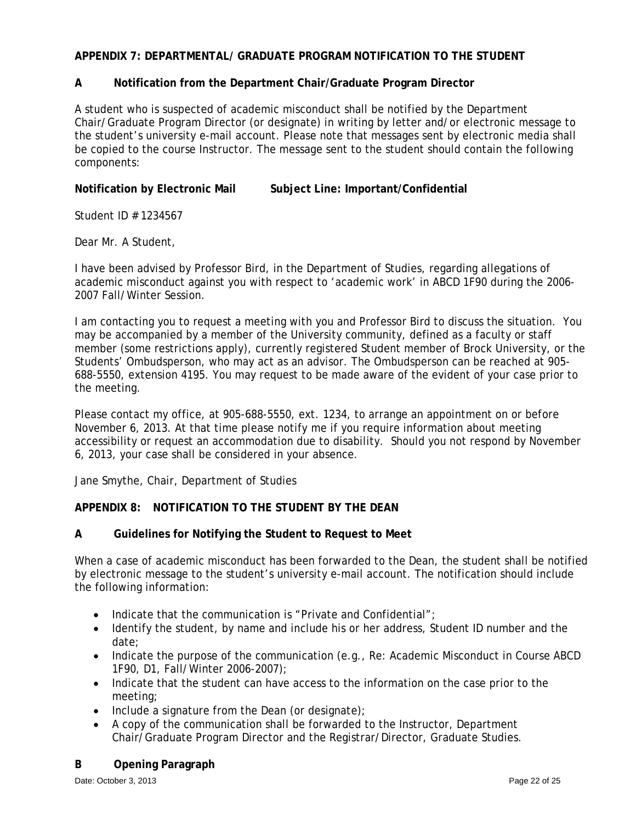## **APPENDIX 7: DEPARTMENTAL/ GRADUATE PROGRAM NOTIFICATION TO THE STUDENT**

## **A Notification from the Department Chair/Graduate Program Director**

A student who is suspected of academic misconduct shall be notified by the Department Chair/Graduate Program Director (or designate) in writing by letter and/or electronic message to the student's university e-mail account. Please note that messages sent by electronic media shall be copied to the course Instructor. The message sent to the student should contain the following components:

**Notification by Electronic Mail Subject Line: Important/Confidential** 

Student ID # 1234567

Dear Mr. A Student,

I have been advised by Professor Bird, in the Department of Studies, regarding allegations of academic misconduct against you with respect to 'academic work' in ABCD 1F90 during the 2006- 2007 Fall/Winter Session.

I am contacting you to request a meeting with you and Professor Bird to discuss the situation. You may be accompanied by a member of the University community, defined as a faculty or staff member (some restrictions apply), currently registered Student member of Brock University, or the Students' Ombudsperson, who may act as an advisor. The Ombudsperson can be reached at 905- 688-5550, extension 4195. You may request to be made aware of the evident of your case prior to the meeting.

Please contact my office, at 905-688-5550, ext. 1234, to arrange an appointment on or before November 6, 2013. At that time please notify me if you require information about meeting accessibility or request an accommodation due to disability. Should you not respond by November 6, 2013, your case shall be considered in your absence.

Jane Smythe, Chair, Department of Studies

## **APPENDIX 8: NOTIFICATION TO THE STUDENT BY THE DEAN**

## **A Guidelines for Notifying the Student to Request to Meet**

When a case of academic misconduct has been forwarded to the Dean, the student shall be notified by electronic message to the student's university e-mail account. The notification should include the following information:

- Indicate that the communication is "Private and Confidential";
- Identify the student, by name and include his or her address, Student ID number and the date;
- Indicate the purpose of the communication (e.g., Re: Academic Misconduct in Course ABCD 1F90, D1, Fall/Winter 2006-2007);
- Indicate that the student can have access to the information on the case prior to the meeting;
- $\bullet$  Include a signature from the Dean (or designate);
- A copy of the communication shall be forwarded to the Instructor, Department Chair/Graduate Program Director and the Registrar/Director, Graduate Studies.

## **B Opening Paragraph**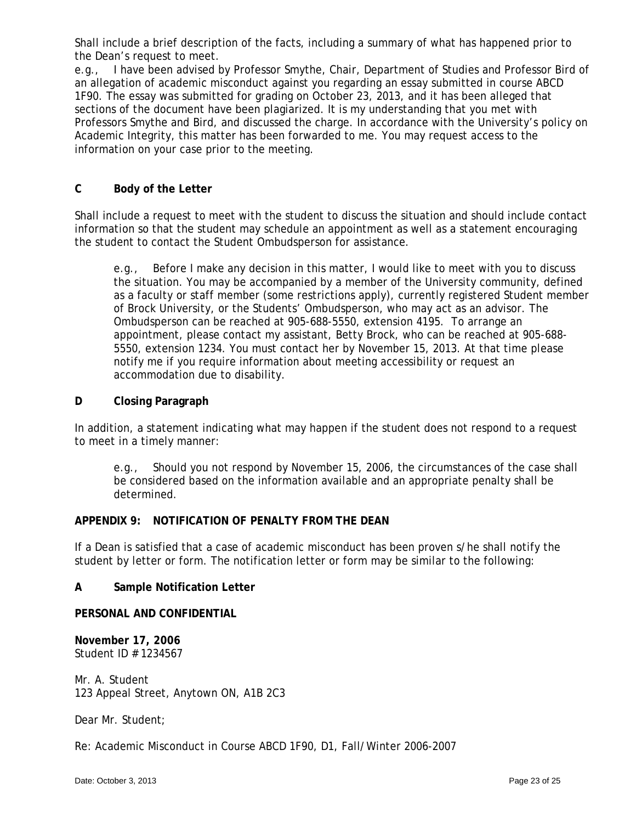Shall include a brief description of the facts, including a summary of what has happened prior to the Dean's request to meet.

e.g., I have been advised by Professor Smythe, Chair, Department of Studies and Professor Bird of an allegation of academic misconduct against you regarding an essay submitted in course ABCD 1F90. The essay was submitted for grading on October 23, 2013, and it has been alleged that sections of the document have been plagiarized. It is my understanding that you met with Professors Smythe and Bird, and discussed the charge. In accordance with the University's policy on Academic Integrity, this matter has been forwarded to me. You may request access to the information on your case prior to the meeting.

## **C Body of the Letter**

Shall include a request to meet with the student to discuss the situation and should include contact information so that the student may schedule an appointment as well as a statement encouraging the student to contact the Student Ombudsperson for assistance.

e.g., Before I make any decision in this matter, I would like to meet with you to discuss the situation. You may be accompanied by a member of the University community, defined as a faculty or staff member (some restrictions apply), currently registered Student member of Brock University, or the Students' Ombudsperson, who may act as an advisor. The Ombudsperson can be reached at 905-688-5550, extension 4195. To arrange an appointment, please contact my assistant, Betty Brock, who can be reached at 905-688- 5550, extension 1234. You must contact her by November 15, 2013. At that time please notify me if you require information about meeting accessibility or request an accommodation due to disability.

## **D Closing Paragraph**

In addition, a statement indicating what may happen if the student does not respond to a request to meet in a timely manner:

e.g., Should you not respond by November 15, 2006, the circumstances of the case shall be considered based on the information available and an appropriate penalty shall be determined.

## **APPENDIX 9: NOTIFICATION OF PENALTY FROM THE DEAN**

If a Dean is satisfied that a case of academic misconduct has been proven s/he shall notify the student by letter or form. The notification letter or form may be similar to the following:

### **A Sample Notification Letter**

### **PERSONAL AND CONFIDENTIAL**

**November 17, 2006**  Student ID # 1234567

Mr. A. Student 123 Appeal Street, Anytown ON, A1B 2C3

Dear Mr. Student;

Re: Academic Misconduct in Course ABCD 1F90, D1, Fall/Winter 2006-2007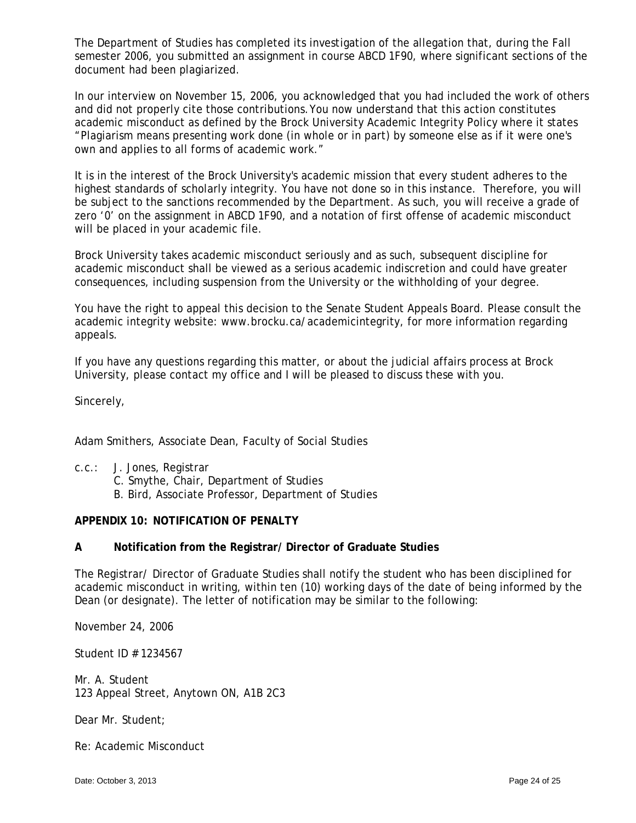The Department of Studies has completed its investigation of the allegation that, during the Fall semester 2006, you submitted an assignment in course ABCD 1F90, where significant sections of the document had been plagiarized.

In our interview on November 15, 2006, you acknowledged that you had included the work of others and did not properly cite those contributions. You now understand that this action constitutes academic misconduct as defined by the Brock University Academic Integrity Policy where it states "Plagiarism means presenting work done (in whole or in part) by someone else as if it were one's own and applies to all forms of academic work."

It is in the interest of the Brock University's academic mission that every student adheres to the highest standards of scholarly integrity. You have not done so in this instance. Therefore, you will be subject to the sanctions recommended by the Department. As such, you will receive a grade of zero '0' on the assignment in ABCD 1F90, and a notation of first offense of academic misconduct will be placed in your academic file.

Brock University takes academic misconduct seriously and as such, subsequent discipline for academic misconduct shall be viewed as a serious academic indiscretion and could have greater consequences, including suspension from the University or the withholding of your degree.

You have the right to appeal this decision to the Senate Student Appeals Board. Please consult the academic integrity website: www.brocku.ca/academicintegrity, for more information regarding appeals.

If you have any questions regarding this matter, or about the judicial affairs process at Brock University, please contact my office and I will be pleased to discuss these with you.

Sincerely,

Adam Smithers, Associate Dean, Faculty of Social Studies

- c.c.: J. Jones, Registrar
	- C. Smythe, Chair, Department of Studies
	- B. Bird, Associate Professor, Department of Studies

## **APPENDIX 10: NOTIFICATION OF PENALTY**

### **A Notification from the Registrar/ Director of Graduate Studies**

The Registrar/ Director of Graduate Studies shall notify the student who has been disciplined for academic misconduct in writing, within ten (10) working days of the date of being informed by the Dean (or designate). The letter of notification may be similar to the following:

November 24, 2006

Student ID # 1234567

Mr. A. Student 123 Appeal Street, Anytown ON, A1B 2C3

Dear Mr. Student;

Re: Academic Misconduct